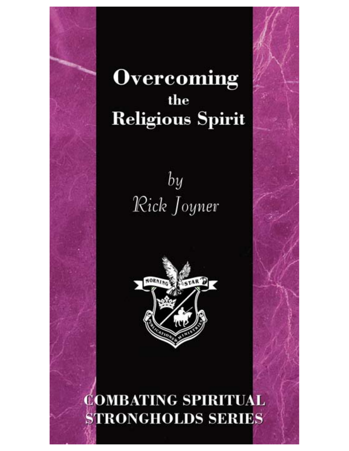

# **Overcoming** the **Religious Spirit**

 $by$ Rick Joyner



### **COMBATING SPIRITUAL STRONGHOLDS SERIES**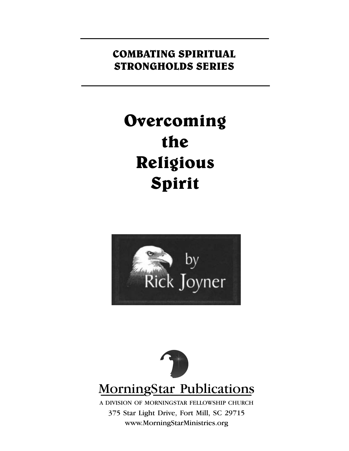### **COMBATING SPIRITUAL STRONGHOLDS SERIES**

# **Overcoming the Religious Spirit**



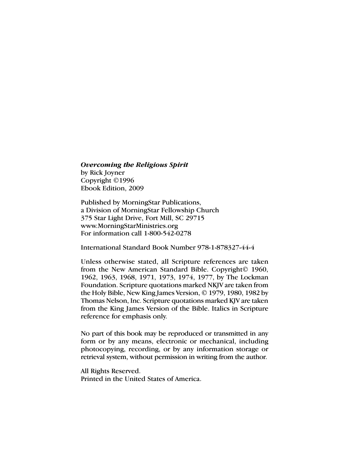#### *Overcoming the Religious Spirit* by Rick Joyner

Copyright ©1996 Ebook Edition, 2009

Published by MorningStar Publications, a Division of MorningStar Fellowship Church 375 Star Light Drive, Fort Mill, SC 29715 www.MorningStarMinistries.org For information call 1-800-542-0278

International Standard Book Number 978-1-878327-44-4

Unless otherwise stated, all Scripture references are taken from the New American Standard Bible. Copyright© 1960, 1962, 1963, 1968, 1971, 1973, 1974, 1977, by The Lockman Foundation. Scripture quotations marked NKJV are taken from the Holy Bible, New King James Version, © 1979, 1980, 1982 by Thomas Nelson, Inc. Scripture quotations marked KJV are taken from the King James Version of the Bible. Italics in Scripture reference for emphasis only.

No part of this book may be reproduced or transmitted in any form or by any means, electronic or mechanical, including photocopying, recording, or by any information storage or retrieval system, without permission in writing from the author.

All Rights Reserved. Printed in the United States of America.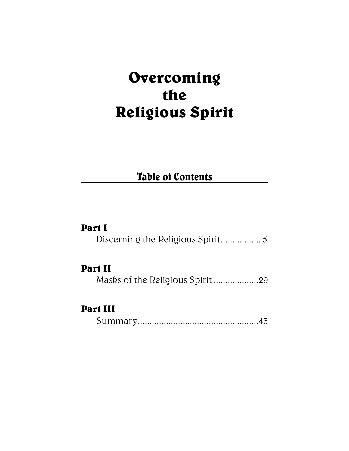### **Overcoming the Religious Spirit**

### Table of Contents

#### **Part I**

Discerning the Religious Spirit................. 5

#### **Part II**

Masks of the Religious Spirit ...................29

#### **Part III**

Summary...................................................43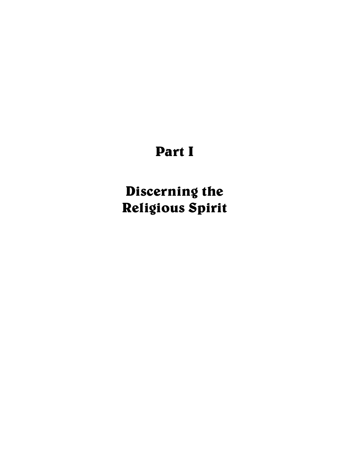### **Part I**

**Discerning the Religious Spirit**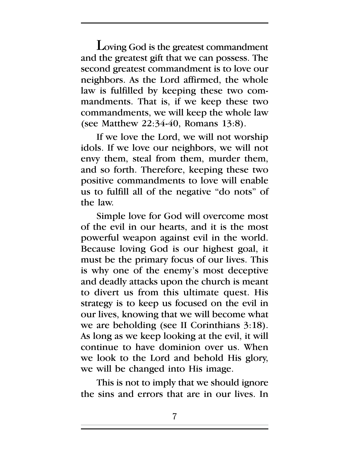Loving God is the greatest commandment and the greatest gift that we can possess. The second greatest commandment is to love our neighbors. As the Lord affirmed, the whole law is fulfilled by keeping these two commandments. That is, if we keep these two commandments, we will keep the whole law (see Matthew 22:34-40, Romans 13:8).

If we love the Lord, we will not worship idols. If we love our neighbors, we will not envy them, steal from them, murder them, and so forth. Therefore, keeping these two positive commandments to love will enable us to fulfill all of the negative "do nots" of the law.

Simple love for God will overcome most of the evil in our hearts, and it is the most powerful weapon against evil in the world. Because loving God is our highest goal, it must be the primary focus of our lives. This is why one of the enemy's most deceptive and deadly attacks upon the church is meant to divert us from this ultimate quest. His strategy is to keep us focused on the evil in our lives, knowing that we will become what we are beholding (see II Corinthians 3:18). As long as we keep looking at the evil, it will continue to have dominion over us. When we look to the Lord and behold His glory, we will be changed into His image.

This is not to imply that we should ignore the sins and errors that are in our lives. In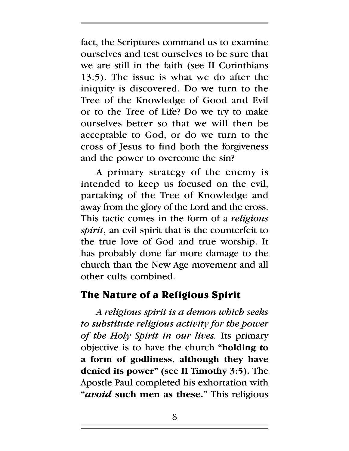fact, the Scriptures command us to examine ourselves and test ourselves to be sure that we are still in the faith (see II Corinthians 13:5). The issue is what we do after the iniquity is discovered. Do we turn to the Tree of the Knowledge of Good and Evil or to the Tree of Life? Do we try to make ourselves better so that we will then be acceptable to God, or do we turn to the cross of Jesus to find both the forgiveness and the power to overcome the sin?

A primary strategy of the enemy is intended to keep us focused on the evil, partaking of the Tree of Knowledge and away from the glory of the Lord and the cross. This tactic comes in the form of a *religious spirit*, an evil spirit that is the counterfeit to the true love of God and true worship. It has probably done far more damage to the church than the New Age movement and all other cults combined.

### **The Nature of a Religious Spirit**

*A religious spirit is a demon which seeks to substitute religious activity for the power of the Holy Spirit in our lives.* Its primary objective is to have the church **"holding to a form of godliness, although they have denied its power" (see II Timothy 3:5).** The Apostle Paul completed his exhortation with **"***avoid* **such men as these."** This religious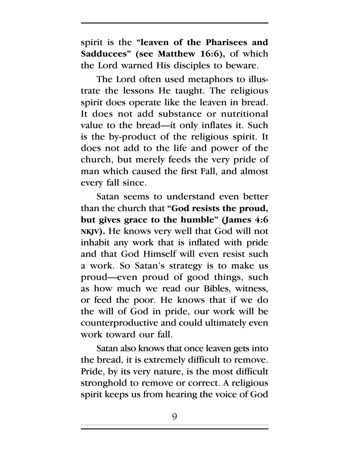spirit is the **"leaven of the Pharisees and Sadducees" (see Matthew 16:6),** of which the Lord warned His disciples to beware.

The Lord often used metaphors to illustrate the lessons He taught. The religious spirit does operate like the leaven in bread. It does not add substance or nutritional value to the bread—it only inflates it. Such is the by-product of the religious spirit. It does not add to the life and power of the church, but merely feeds the very pride of man which caused the first Fall, and almost every fall since.

Satan seems to understand even better than the church that **"God resists the proud, but gives grace to the humble" (James 4:6 NKJV).** He knows very well that God will not inhabit any work that is inflated with pride and that God Himself will even resist such a work. So Satan's strategy is to make us proud—even proud of good things, such as how much we read our Bibles, witness, or feed the poor. He knows that if we do the will of God in pride, our work will be counterproductive and could ultimately even work toward our fall.

Satan also knows that once leaven gets into the bread, it is extremely difficult to remove. Pride, by its very nature, is the most difficult stronghold to remove or correct. A religious spirit keeps us from hearing the voice of God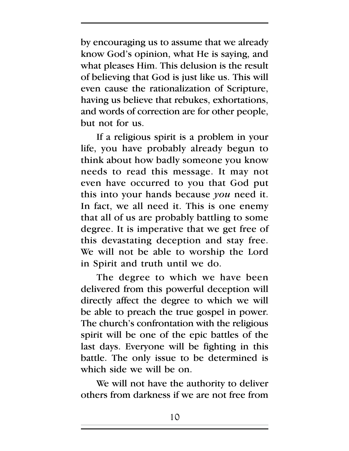by encouraging us to assume that we already know God's opinion, what He is saying, and what pleases Him. This delusion is the result of believing that God is just like us. This will even cause the rationalization of Scripture, having us believe that rebukes, exhortations, and words of correction are for other people, but not for us.

If a religious spirit is a problem in your life, you have probably already begun to think about how badly someone you know needs to read this message. It may not even have occurred to you that God put this into your hands because *you* need it. In fact, we all need it. This is one enemy that all of us are probably battling to some degree. It is imperative that we get free of this devastating deception and stay free. We will not be able to worship the Lord in Spirit and truth until we do.

The degree to which we have been delivered from this powerful deception will directly affect the degree to which we will be able to preach the true gospel in power. The church's confrontation with the religious spirit will be one of the epic battles of the last days. Everyone will be fighting in this battle. The only issue to be determined is which side we will be on.

We will not have the authority to deliver others from darkness if we are not free from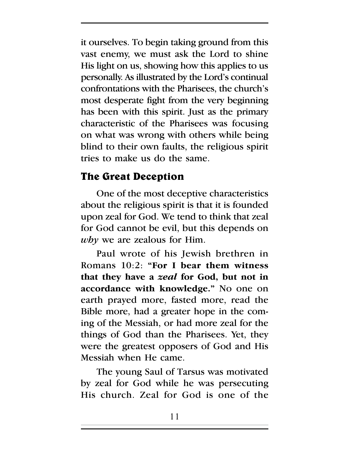it ourselves. To begin taking ground from this vast enemy, we must ask the Lord to shine His light on us, showing how this applies to us personally. As illustrated by the Lord's continual confrontations with the Pharisees, the church's most desperate fight from the very beginning has been with this spirit. Just as the primary characteristic of the Pharisees was focusing on what was wrong with others while being blind to their own faults, the religious spirit tries to make us do the same.

### **The Great Deception**

One of the most deceptive characteristics about the religious spirit is that it is founded upon zeal for God. We tend to think that zeal for God cannot be evil, but this depends on *why* we are zealous for Him.

Paul wrote of his Jewish brethren in Romans 10:2: **"For I bear them witness that they have a** *zeal* **for God, but not in accordance with knowledge."** No one on earth prayed more, fasted more, read the Bible more, had a greater hope in the coming of the Messiah, or had more zeal for the things of God than the Pharisees. Yet, they were the greatest opposers of God and His Messiah when He came.

The young Saul of Tarsus was motivated by zeal for God while he was persecuting His church. Zeal for God is one of the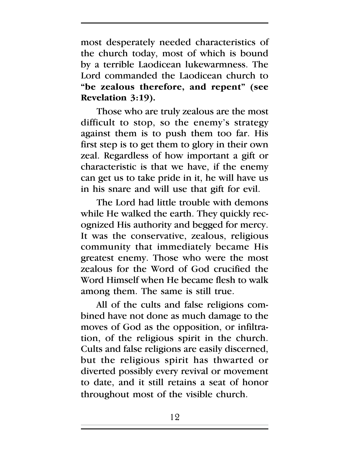most desperately needed characteristics of the church today, most of which is bound by a terrible Laodicean lukewarmness. The Lord commanded the Laodicean church to **"be zealous therefore, and repent" (see Revelation 3:19).**

Those who are truly zealous are the most difficult to stop, so the enemy's strategy against them is to push them too far. His first step is to get them to glory in their own zeal. Regardless of how important a gift or characteristic is that we have, if the enemy can get us to take pride in it, he will have us in his snare and will use that gift for evil.

The Lord had little trouble with demons while He walked the earth. They quickly recognized His authority and begged for mercy. It was the conservative, zealous, religious community that immediately became His greatest enemy. Those who were the most zealous for the Word of God crucified the Word Himself when He became flesh to walk among them. The same is still true.

All of the cults and false religions combined have not done as much damage to the moves of God as the opposition, or infiltration, of the religious spirit in the church. Cults and false religions are easily discerned, but the religious spirit has thwarted or diverted possibly every revival or movement to date, and it still retains a seat of honor throughout most of the visible church.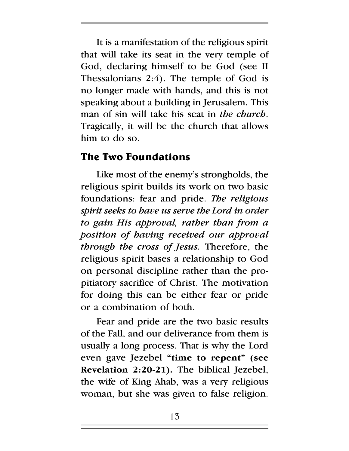It is a manifestation of the religious spirit that will take its seat in the very temple of God, declaring himself to be God (see II Thessalonians 2:4). The temple of God is no longer made with hands, and this is not speaking about a building in Jerusalem. This man of sin will take his seat in *the church*. Tragically, it will be the church that allows him to do so.

#### **The Two Foundations**

Like most of the enemy's strongholds, the religious spirit builds its work on two basic foundations: fear and pride. *The religious spirit seeks to have us serve the Lord in order to gain His approval, rather than from a position of having received our approval through the cross of Jesus.* Therefore, the religious spirit bases a relationship to God on personal discipline rather than the propitiatory sacrifice of Christ. The motivation for doing this can be either fear or pride or a combination of both.

Fear and pride are the two basic results of the Fall, and our deliverance from them is usually a long process. That is why the Lord even gave Jezebel **"time to repent" (see Revelation 2:20-21).** The biblical Jezebel, the wife of King Ahab, was a very religious woman, but she was given to false religion.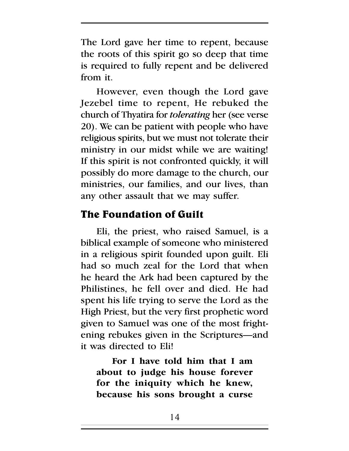The Lord gave her time to repent, because the roots of this spirit go so deep that time is required to fully repent and be delivered from it.

However, even though the Lord gave Jezebel time to repent, He rebuked the church of Thyatira for *tolerating* her (see verse 20). We can be patient with people who have religious spirits, but we must not tolerate their ministry in our midst while we are waiting! If this spirit is not confronted quickly, it will possibly do more damage to the church, our ministries, our families, and our lives, than any other assault that we may suffer.

### **The Foundation of Guilt**

Eli, the priest, who raised Samuel, is a biblical example of someone who ministered in a religious spirit founded upon guilt. Eli had so much zeal for the Lord that when he heard the Ark had been captured by the Philistines, he fell over and died. He had spent his life trying to serve the Lord as the High Priest, but the very first prophetic word given to Samuel was one of the most frightening rebukes given in the Scriptures—and it was directed to Eli!

**For I have told him that I am about to judge his house forever for the iniquity which he knew, because his sons brought a curse**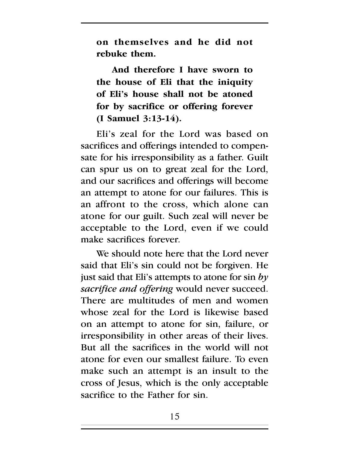**on themselves and he did not rebuke them.**

**And therefore I have sworn to the house of Eli that the iniquity of Eli's house shall not be atoned for by sacrifice or offering forever (I Samuel 3:13-14).**

Eli's zeal for the Lord was based on sacrifices and offerings intended to compensate for his irresponsibility as a father. Guilt can spur us on to great zeal for the Lord, and our sacrifices and offerings will become an attempt to atone for our failures. This is an affront to the cross, which alone can atone for our guilt. Such zeal will never be acceptable to the Lord, even if we could make sacrifices forever.

We should note here that the Lord never said that Eli's sin could not be forgiven. He just said that Eli's attempts to atone for sin *by sacrifice and offering* would never succeed. There are multitudes of men and women whose zeal for the Lord is likewise based on an attempt to atone for sin, failure, or irresponsibility in other areas of their lives. But all the sacrifices in the world will not atone for even our smallest failure. To even make such an attempt is an insult to the cross of Jesus, which is the only acceptable sacrifice to the Father for sin.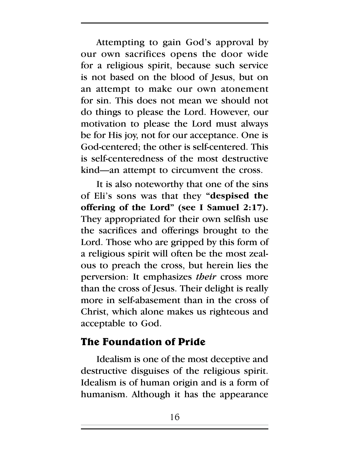Attempting to gain God's approval by our own sacrifices opens the door wide for a religious spirit, because such service is not based on the blood of Jesus, but on an attempt to make our own atonement for sin. This does not mean we should not do things to please the Lord. However, our motivation to please the Lord must always be for His joy, not for our acceptance. One is God-centered; the other is self-centered. This is self-centeredness of the most destructive kind—an attempt to circumvent the cross.

It is also noteworthy that one of the sins of Eli's sons was that they **"despised the offering of the Lord" (see I Samuel 2:17).** They appropriated for their own selfish use the sacrifices and offerings brought to the Lord. Those who are gripped by this form of a religious spirit will often be the most zealous to preach the cross, but herein lies the perversion: It emphasizes *their* cross more than the cross of Jesus. Their delight is really more in self-abasement than in the cross of Christ, which alone makes us righteous and acceptable to God.

### **The Foundation of Pride**

Idealism is one of the most deceptive and destructive disguises of the religious spirit. Idealism is of human origin and is a form of humanism. Although it has the appearance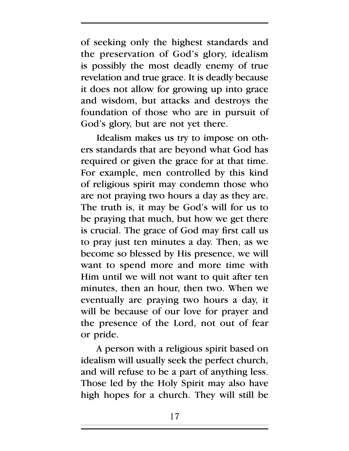of seeking only the highest standards and the preservation of God's glory, idealism is possibly the most deadly enemy of true revelation and true grace. It is deadly because it does not allow for growing up into grace and wisdom, but attacks and destroys the foundation of those who are in pursuit of God's glory, but are not yet there.

Idealism makes us try to impose on others standards that are beyond what God has required or given the grace for at that time. For example, men controlled by this kind of religious spirit may condemn those who are not praying two hours a day as they are. The truth is, it may be God's will for us to be praying that much, but how we get there is crucial. The grace of God may first call us to pray just ten minutes a day. Then, as we become so blessed by His presence, we will want to spend more and more time with Him until we will not want to quit after ten minutes, then an hour, then two. When we eventually are praying two hours a day, it will be because of our love for prayer and the presence of the Lord, not out of fear or pride.

A person with a religious spirit based on idealism will usually seek the perfect church, and will refuse to be a part of anything less. Those led by the Holy Spirit may also have high hopes for a church. They will still be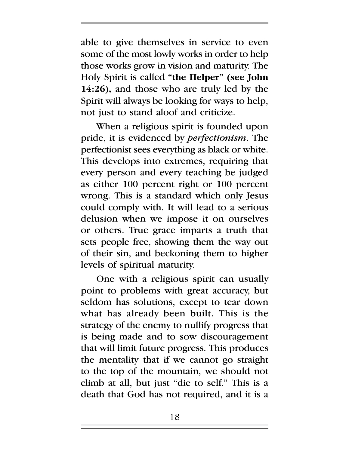able to give themselves in service to even some of the most lowly works in order to help those works grow in vision and maturity. The Holy Spirit is called **"the Helper" (see John 14:26),** and those who are truly led by the Spirit will always be looking for ways to help, not just to stand aloof and criticize.

When a religious spirit is founded upon pride, it is evidenced by *perfectionism*. The perfectionist sees everything as black or white. This develops into extremes, requiring that every person and every teaching be judged as either 100 percent right or 100 percent wrong. This is a standard which only Jesus could comply with. It will lead to a serious delusion when we impose it on ourselves or others. True grace imparts a truth that sets people free, showing them the way out of their sin, and beckoning them to higher levels of spiritual maturity.

One with a religious spirit can usually point to problems with great accuracy, but seldom has solutions, except to tear down what has already been built. This is the strategy of the enemy to nullify progress that is being made and to sow discouragement that will limit future progress. This produces the mentality that if we cannot go straight to the top of the mountain, we should not climb at all, but just "die to self." This is a death that God has not required, and it is a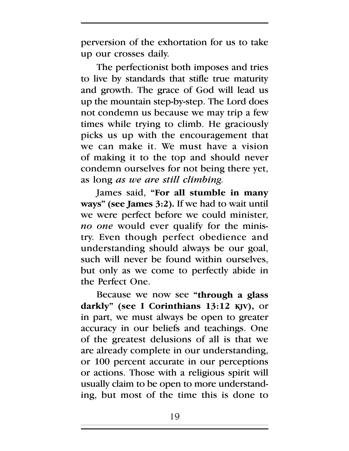perversion of the exhortation for us to take up our crosses daily.

The perfectionist both imposes and tries to live by standards that stifle true maturity and growth. The grace of God will lead us up the mountain step-by-step. The Lord does not condemn us because we may trip a few times while trying to climb. He graciously picks us up with the encouragement that we can make it. We must have a vision of making it to the top and should never condemn ourselves for not being there yet, as long *as we are still climbing.*

James said, **"For all stumble in many ways" (see James 3:2).** If we had to wait until we were perfect before we could minister, *no one* would ever qualify for the ministry. Even though perfect obedience and understanding should always be our goal, such will never be found within ourselves, but only as we come to perfectly abide in the Perfect One.

Because we now see **"through a glass darkly" (see I Corinthians 13:12 KJV),** or in part, we must always be open to greater accuracy in our beliefs and teachings. One of the greatest delusions of all is that we are already complete in our understanding, or 100 percent accurate in our perceptions or actions. Those with a religious spirit will usually claim to be open to more understanding, but most of the time this is done to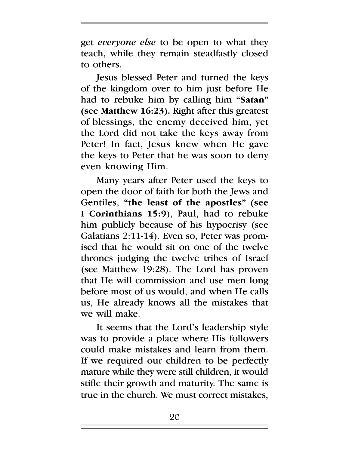get *everyone else* to be open to what they teach, while they remain steadfastly closed to others.

Jesus blessed Peter and turned the keys of the kingdom over to him just before He had to rebuke him by calling him **"Satan" (see Matthew 16:23).** Right after this greatest of blessings, the enemy deceived him, yet the Lord did not take the keys away from Peter! In fact, Jesus knew when He gave the keys to Peter that he was soon to deny even knowing Him.

Many years after Peter used the keys to open the door of faith for both the Jews and Gentiles, **"the least of the apostles" (see I Corinthians 15:9**), Paul, had to rebuke him publicly because of his hypocrisy (see Galatians 2:11-14). Even so, Peter was promised that he would sit on one of the twelve thrones judging the twelve tribes of Israel (see Matthew 19:28). The Lord has proven that He will commission and use men long before most of us would, and when He calls us, He already knows all the mistakes that we will make.

It seems that the Lord's leadership style was to provide a place where His followers could make mistakes and learn from them. If we required our children to be perfectly mature while they were still children, it would stifle their growth and maturity. The same is true in the church. We must correct mistakes,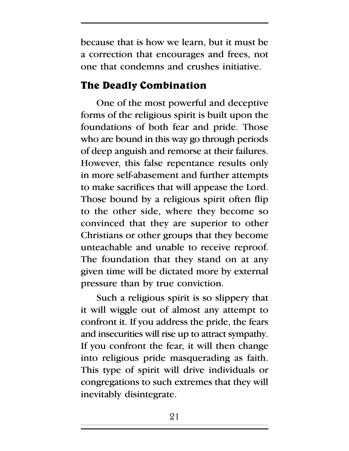because that is how we learn, but it must be a correction that encourages and frees, not one that condemns and crushes initiative.

### **The Deadly Combination**

One of the most powerful and deceptive forms of the religious spirit is built upon the foundations of both fear and pride. Those who are bound in this way go through periods of deep anguish and remorse at their failures. However, this false repentance results only in more self-abasement and further attempts to make sacrifices that will appease the Lord. Those bound by a religious spirit often flip to the other side, where they become so convinced that they are superior to other Christians or other groups that they become unteachable and unable to receive reproof. The foundation that they stand on at any given time will be dictated more by external pressure than by true conviction.

Such a religious spirit is so slippery that it will wiggle out of almost any attempt to confront it. If you address the pride, the fears and insecurities will rise up to attract sympathy. If you confront the fear, it will then change into religious pride masquerading as faith. This type of spirit will drive individuals or congregations to such extremes that they will inevitably disintegrate.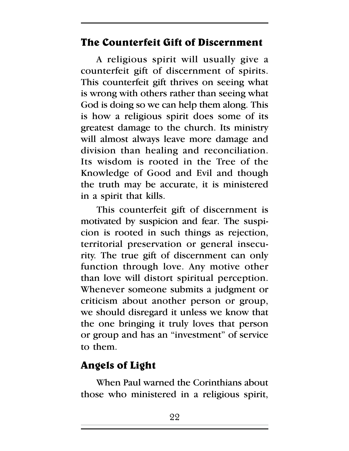### **The Counterfeit Gift of Discernment**

A religious spirit will usually give a counterfeit gift of discernment of spirits. This counterfeit gift thrives on seeing what is wrong with others rather than seeing what God is doing so we can help them along. This is how a religious spirit does some of its greatest damage to the church. Its ministry will almost always leave more damage and division than healing and reconciliation. Its wisdom is rooted in the Tree of the Knowledge of Good and Evil and though the truth may be accurate, it is ministered in a spirit that kills.

This counterfeit gift of discernment is motivated by suspicion and fear. The suspicion is rooted in such things as rejection, territorial preservation or general insecurity. The true gift of discernment can only function through love. Any motive other than love will distort spiritual perception. Whenever someone submits a judgment or criticism about another person or group, we should disregard it unless we know that the one bringing it truly loves that person or group and has an "investment" of service to them.

### **Angels of Light**

When Paul warned the Corinthians about those who ministered in a religious spirit,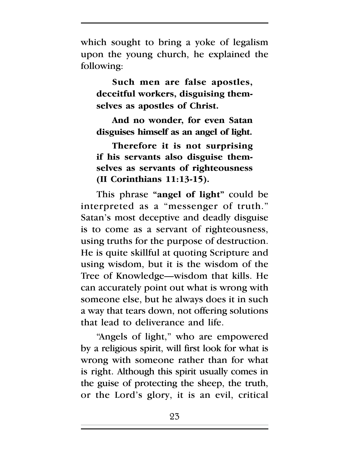which sought to bring a yoke of legalism upon the young church, he explained the following:

**Such men are false apostles, deceitful workers, disguising themselves as apostles of Christ.**

**And no wonder, for even Satan disguises himself as an angel of light.**

**Therefore it is not surprising if his servants also disguise themselves as servants of righteousness (II Corinthians 11:13-15).**

This phrase **"angel of light"** could be interpreted as a "messenger of truth." Satan's most deceptive and deadly disguise is to come as a servant of righteousness, using truths for the purpose of destruction. He is quite skillful at quoting Scripture and using wisdom, but it is the wisdom of the Tree of Knowledge—wisdom that kills. He can accurately point out what is wrong with someone else, but he always does it in such a way that tears down, not offering solutions that lead to deliverance and life.

"Angels of light," who are empowered by a religious spirit, will first look for what is wrong with someone rather than for what is right. Although this spirit usually comes in the guise of protecting the sheep, the truth, or the Lord's glory, it is an evil, critical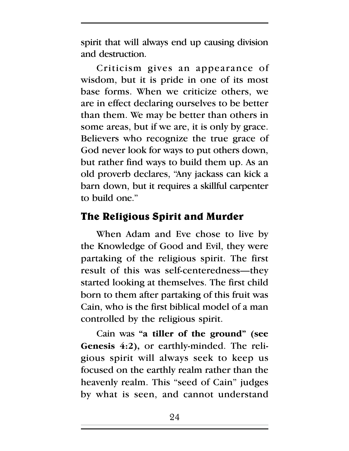spirit that will always end up causing division and destruction.

Criticism gives an appearance of wisdom, but it is pride in one of its most base forms. When we criticize others, we are in effect declaring ourselves to be better than them. We may be better than others in some areas, but if we are, it is only by grace. Believers who recognize the true grace of God never look for ways to put others down, but rather find ways to build them up. As an old proverb declares, "Any jackass can kick a barn down, but it requires a skillful carpenter to build one."

### **The Religious Spirit and Murder**

When Adam and Eve chose to live by the Knowledge of Good and Evil, they were partaking of the religious spirit. The first result of this was self-centeredness—they started looking at themselves. The first child born to them after partaking of this fruit was Cain, who is the first biblical model of a man controlled by the religious spirit.

Cain was **"a tiller of the ground" (see Genesis 4:2),** or earthly-minded. The religious spirit will always seek to keep us focused on the earthly realm rather than the heavenly realm. This "seed of Cain" judges by what is seen, and cannot understand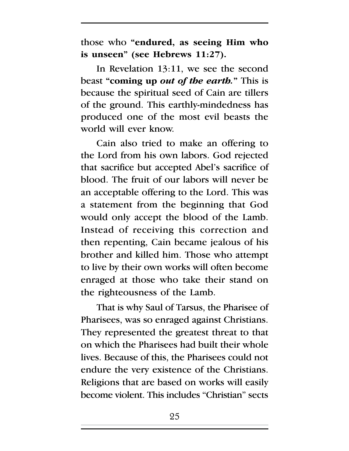those who **"endured, as seeing Him who is unseen" (see Hebrews 11:27).**

In Revelation 13:11, we see the second beast **"coming up** *out of the earth.***"** This is because the spiritual seed of Cain are tillers of the ground. This earthly-mindedness has produced one of the most evil beasts the world will ever know.

Cain also tried to make an offering to the Lord from his own labors. God rejected that sacrifice but accepted Abel's sacrifice of blood. The fruit of our labors will never be an acceptable offering to the Lord. This was a statement from the beginning that God would only accept the blood of the Lamb. Instead of receiving this correction and then repenting, Cain became jealous of his brother and killed him. Those who attempt to live by their own works will often become enraged at those who take their stand on the righteousness of the Lamb.

That is why Saul of Tarsus, the Pharisee of Pharisees, was so enraged against Christians. They represented the greatest threat to that on which the Pharisees had built their whole lives. Because of this, the Pharisees could not endure the very existence of the Christians. Religions that are based on works will easily become violent. This includes "Christian" sects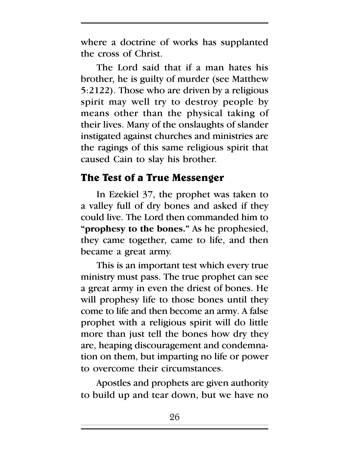where a doctrine of works has supplanted the cross of Christ.

The Lord said that if a man hates his brother, he is guilty of murder (see Matthew 5:2122). Those who are driven by a religious spirit may well try to destroy people by means other than the physical taking of their lives. Many of the onslaughts of slander instigated against churches and ministries are the ragings of this same religious spirit that caused Cain to slay his brother.

### **The Test of a True Messenger**

In Ezekiel 37, the prophet was taken to a valley full of dry bones and asked if they could live. The Lord then commanded him to **"prophesy to the bones."** As he prophesied, they came together, came to life, and then became a great army.

This is an important test which every true ministry must pass. The true prophet can see a great army in even the driest of bones. He will prophesy life to those bones until they come to life and then become an army. A false prophet with a religious spirit will do little more than just tell the bones how dry they are, heaping discouragement and condemnation on them, but imparting no life or power to overcome their circumstances.

Apostles and prophets are given authority to build up and tear down, but we have no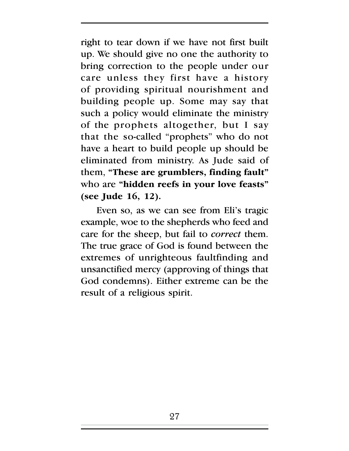right to tear down if we have not first built up. We should give no one the authority to bring correction to the people under our care unless they first have a history of providing spiritual nourishment and building people up. Some may say that such a policy would eliminate the ministry of the prophets altogether, but I say that the so-called "prophets" who do not have a heart to build people up should be eliminated from ministry. As Jude said of them, **"These are grumblers, finding fault"** who are **"hidden reefs in your love feasts" (see Jude 16, 12).**

Even so, as we can see from Eli's tragic example, woe to the shepherds who feed and care for the sheep, but fail to *correct* them. The true grace of God is found between the extremes of unrighteous faultfinding and unsanctified mercy (approving of things that God condemns). Either extreme can be the result of a religious spirit.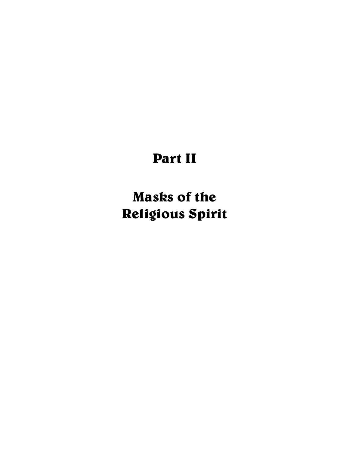### **Part II**

**Masks of the Religious Spirit**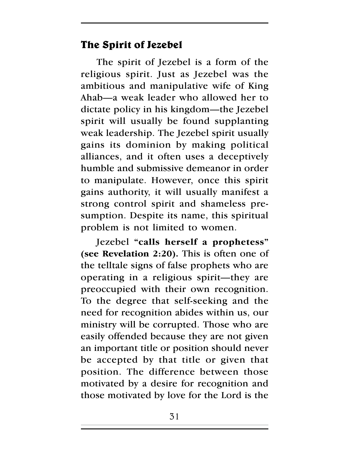### **The Spirit of Jezebel**

The spirit of Jezebel is a form of the religious spirit. Just as Jezebel was the ambitious and manipulative wife of King Ahab—a weak leader who allowed her to dictate policy in his kingdom—the Jezebel spirit will usually be found supplanting weak leadership. The Jezebel spirit usually gains its dominion by making political alliances, and it often uses a deceptively humble and submissive demeanor in order to manipulate. However, once this spirit gains authority, it will usually manifest a strong control spirit and shameless presumption. Despite its name, this spiritual problem is not limited to women.

Jezebel **"calls herself a prophetess" (see Revelation 2:20).** This is often one of the telltale signs of false prophets who are operating in a religious spirit—they are preoccupied with their own recognition. To the degree that self-seeking and the need for recognition abides within us, our ministry will be corrupted. Those who are easily offended because they are not given an important title or position should never be accepted by that title or given that position. The difference between those motivated by a desire for recognition and those motivated by love for the Lord is the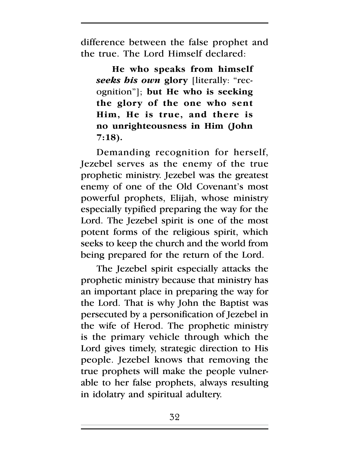difference between the false prophet and the true. The Lord Himself declared:

**He who speaks from himself**  *seeks his own* **glory** [literally: "recognition"]; **but He who is seeking the glory of the one who sent Him, He is true, and there is no unrighteousness in Him (John 7:18).**

Demanding recognition for herself, Jezebel serves as the enemy of the true prophetic ministry. Jezebel was the greatest enemy of one of the Old Covenant's most powerful prophets, Elijah, whose ministry especially typified preparing the way for the Lord. The Jezebel spirit is one of the most potent forms of the religious spirit, which seeks to keep the church and the world from being prepared for the return of the Lord.

The Jezebel spirit especially attacks the prophetic ministry because that ministry has an important place in preparing the way for the Lord. That is why John the Baptist was persecuted by a personification of Jezebel in the wife of Herod. The prophetic ministry is the primary vehicle through which the Lord gives timely, strategic direction to His people. Jezebel knows that removing the true prophets will make the people vulnerable to her false prophets, always resulting in idolatry and spiritual adultery.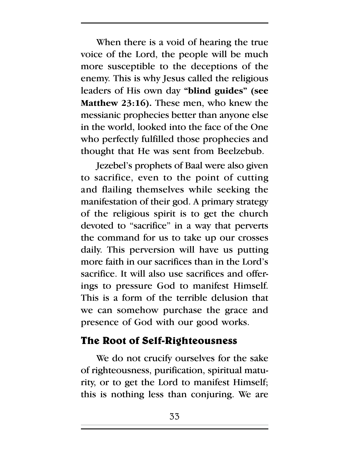When there is a void of hearing the true voice of the Lord, the people will be much more susceptible to the deceptions of the enemy. This is why Jesus called the religious leaders of His own day **"blind guides" (see Matthew 23:16).** These men, who knew the messianic prophecies better than anyone else in the world, looked into the face of the One who perfectly fulfilled those prophecies and thought that He was sent from Beelzebub.

Jezebel's prophets of Baal were also given to sacrifice, even to the point of cutting and flailing themselves while seeking the manifestation of their god. A primary strategy of the religious spirit is to get the church devoted to "sacrifice" in a way that perverts the command for us to take up our crosses daily. This perversion will have us putting more faith in our sacrifices than in the Lord's sacrifice. It will also use sacrifices and offerings to pressure God to manifest Himself. This is a form of the terrible delusion that we can somehow purchase the grace and presence of God with our good works.

### **The Root of Self-Righteousness**

We do not crucify ourselves for the sake of righteousness, purification, spiritual maturity, or to get the Lord to manifest Himself; this is nothing less than conjuring. We are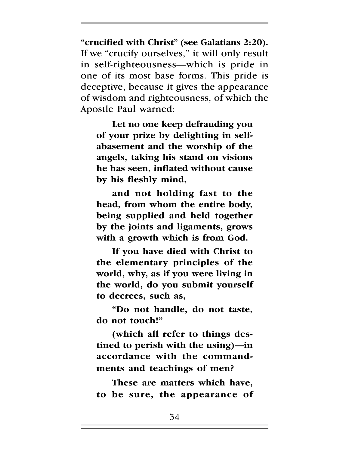**"crucified with Christ" (see Galatians 2:20).** If we "crucify ourselves," it will only result in self-righteousness—which is pride in one of its most base forms. This pride is deceptive, because it gives the appearance of wisdom and righteousness, of which the Apostle Paul warned:

**Let no one keep defrauding you of your prize by delighting in selfabasement and the worship of the angels, taking his stand on visions he has seen, inflated without cause by his fleshly mind,**

**and not holding fast to the head, from whom the entire body, being supplied and held together by the joints and ligaments, grows with a growth which is from God.**

**If you have died with Christ to the elementary principles of the world, why, as if you were living in the world, do you submit yourself to decrees, such as,**

**"Do not handle, do not taste, do not touch!"**

**(which all refer to things destined to perish with the using)—in accordance with the commandments and teachings of men?**

**These are matters which have, to be sure, the appearance of**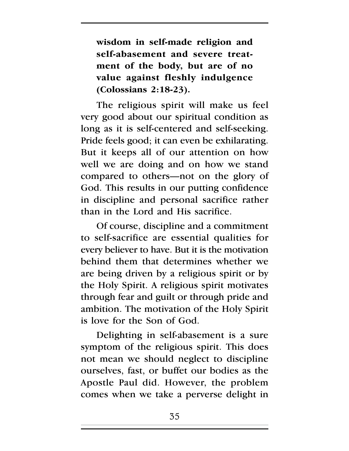**wisdom in self-made religion and self-abasement and severe treatment of the body, but are of no value against fleshly indulgence (Colossians 2:18-23).**

The religious spirit will make us feel very good about our spiritual condition as long as it is self-centered and self-seeking. Pride feels good; it can even be exhilarating. But it keeps all of our attention on how well we are doing and on how we stand compared to others—not on the glory of God. This results in our putting confidence in discipline and personal sacrifice rather than in the Lord and His sacrifice.

Of course, discipline and a commitment to self-sacrifice are essential qualities for every believer to have. But it is the motivation behind them that determines whether we are being driven by a religious spirit or by the Holy Spirit. A religious spirit motivates through fear and guilt or through pride and ambition. The motivation of the Holy Spirit is love for the Son of God.

Delighting in self-abasement is a sure symptom of the religious spirit. This does not mean we should neglect to discipline ourselves, fast, or buffet our bodies as the Apostle Paul did. However, the problem comes when we take a perverse delight in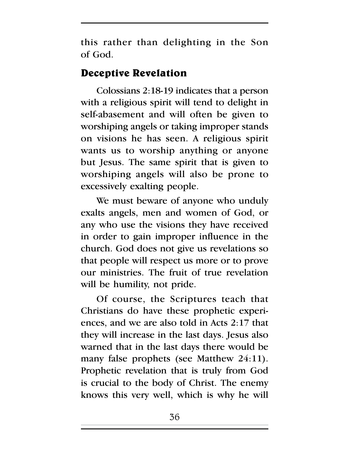this rather than delighting in the Son of God.

### **Deceptive Revelation**

Colossians 2:18-19 indicates that a person with a religious spirit will tend to delight in self-abasement and will often be given to worshiping angels or taking improper stands on visions he has seen. A religious spirit wants us to worship anything or anyone but Jesus. The same spirit that is given to worshiping angels will also be prone to excessively exalting people.

We must beware of anyone who unduly exalts angels, men and women of God, or any who use the visions they have received in order to gain improper influence in the church. God does not give us revelations so that people will respect us more or to prove our ministries. The fruit of true revelation will be humility, not pride.

Of course, the Scriptures teach that Christians do have these prophetic experiences, and we are also told in Acts 2:17 that they will increase in the last days. Jesus also warned that in the last days there would be many false prophets (see Matthew 24:11). Prophetic revelation that is truly from God is crucial to the body of Christ. The enemy knows this very well, which is why he will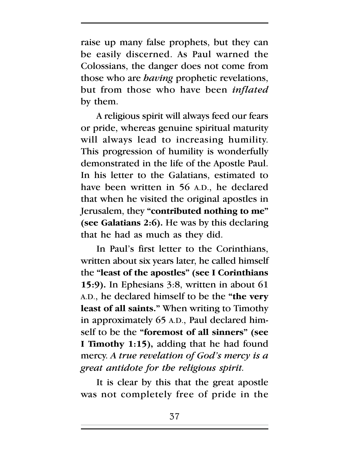raise up many false prophets, but they can be easily discerned. As Paul warned the Colossians, the danger does not come from those who are *having* prophetic revelations, but from those who have been *inflated* by them.

A religious spirit will always feed our fears or pride, whereas genuine spiritual maturity will always lead to increasing humility. This progression of humility is wonderfully demonstrated in the life of the Apostle Paul. In his letter to the Galatians, estimated to have been written in 56 A.D., he declared that when he visited the original apostles in Jerusalem, they **"contributed nothing to me" (see Galatians 2:6).** He was by this declaring that he had as much as they did.

In Paul's first letter to the Corinthians, written about six years later, he called himself the **"least of the apostles" (see I Corinthians 15:9).** In Ephesians 3:8, written in about 61 A.D., he declared himself to be the **"the very least of all saints."** When writing to Timothy in approximately 65 A.D., Paul declared himself to be the **"foremost of all sinners" (see I Timothy 1:15),** adding that he had found mercy. *A true revelation of God's mercy is a great antidote for the religious spirit.*

It is clear by this that the great apostle was not completely free of pride in the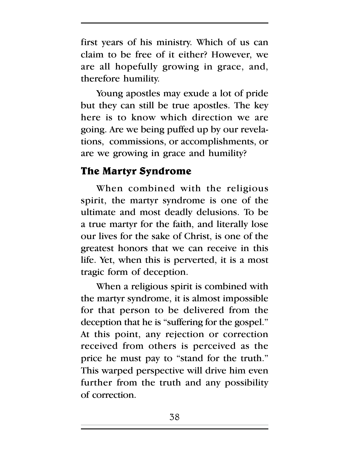first years of his ministry. Which of us can claim to be free of it either? However, we are all hopefully growing in grace, and, therefore humility.

Young apostles may exude a lot of pride but they can still be true apostles. The key here is to know which direction we are going. Are we being puffed up by our revelations, commissions, or accomplishments, or are we growing in grace and humility?

### **The Martyr Syndrome**

When combined with the religious spirit, the martyr syndrome is one of the ultimate and most deadly delusions. To be a true martyr for the faith, and literally lose our lives for the sake of Christ, is one of the greatest honors that we can receive in this life. Yet, when this is perverted, it is a most tragic form of deception.

When a religious spirit is combined with the martyr syndrome, it is almost impossible for that person to be delivered from the deception that he is "suffering for the gospel." At this point, any rejection or correction received from others is perceived as the price he must pay to "stand for the truth." This warped perspective will drive him even further from the truth and any possibility of correction.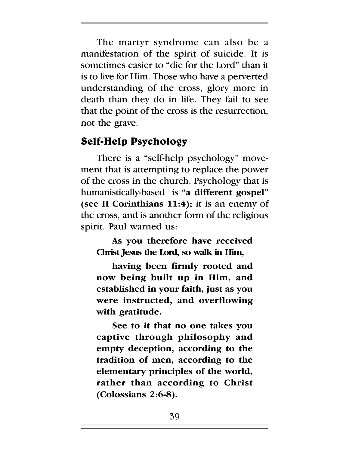The martyr syndrome can also be a manifestation of the spirit of suicide. It is sometimes easier to "die for the Lord" than it is to live for Him. Those who have a perverted understanding of the cross, glory more in death than they do in life. They fail to see that the point of the cross is the resurrection, not the grave.

### **Self-Help Psychology**

There is a "self-help psychology" movement that is attempting to replace the power of the cross in the church. Psychology that is humanistically-based is **"a different gospel" (see II Corinthians 11:4);** it is an enemy of the cross, and is another form of the religious spirit. Paul warned us:

**As you therefore have received Christ Jesus the Lord, so walk in Him,**

**having been firmly rooted and now being built up in Him, and established in your faith, just as you were instructed, and overflowing with gratitude.**

**See to it that no one takes you captive through philosophy and empty deception, according to the tradition of men, according to the elementary principles of the world, rather than according to Christ (Colossians 2:6-8).**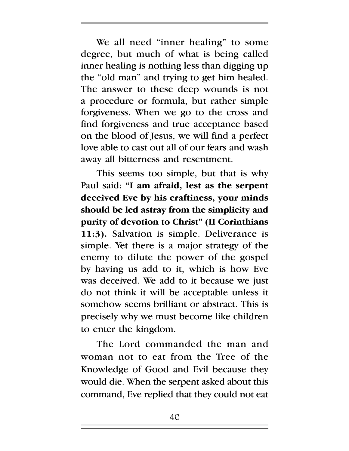We all need "inner healing" to some degree, but much of what is being called inner healing is nothing less than digging up the "old man" and trying to get him healed. The answer to these deep wounds is not a procedure or formula, but rather simple forgiveness. When we go to the cross and find forgiveness and true acceptance based on the blood of Jesus, we will find a perfect love able to cast out all of our fears and wash away all bitterness and resentment.

This seems too simple, but that is why Paul said: **"I am afraid, lest as the serpent deceived Eve by his craftiness, your minds should be led astray from the simplicity and purity of devotion to Christ" (II Corinthians 11:3).** Salvation is simple. Deliverance is simple. Yet there is a major strategy of the enemy to dilute the power of the gospel by having us add to it, which is how Eve was deceived. We add to it because we just do not think it will be acceptable unless it somehow seems brilliant or abstract. This is precisely why we must become like children to enter the kingdom.

The Lord commanded the man and woman not to eat from the Tree of the Knowledge of Good and Evil because they would die. When the serpent asked about this command, Eve replied that they could not eat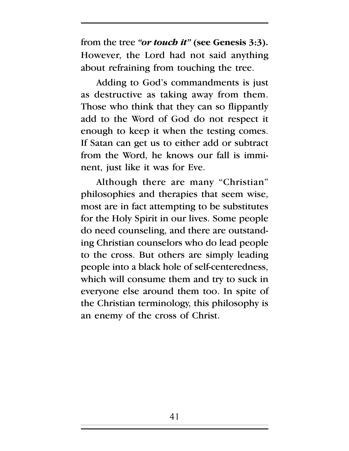from the tree *"or touch it"* **(see Genesis 3:3).** However, the Lord had not said anything about refraining from touching the tree.

Adding to God's commandments is just as destructive as taking away from them. Those who think that they can so flippantly add to the Word of God do not respect it enough to keep it when the testing comes. If Satan can get us to either add or subtract from the Word, he knows our fall is imminent, just like it was for Eve.

Although there are many "Christian" philosophies and therapies that seem wise, most are in fact attempting to be substitutes for the Holy Spirit in our lives. Some people do need counseling, and there are outstanding Christian counselors who do lead people to the cross. But others are simply leading people into a black hole of self-centeredness, which will consume them and try to suck in everyone else around them too. In spite of the Christian terminology, this philosophy is an enemy of the cross of Christ.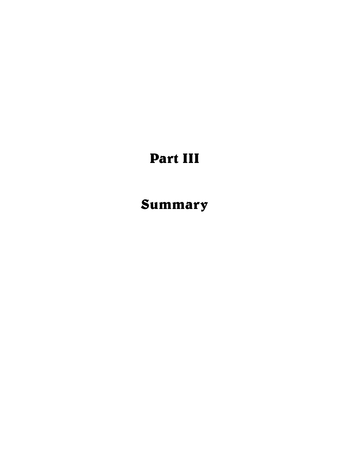### **Part III**

### **Summary**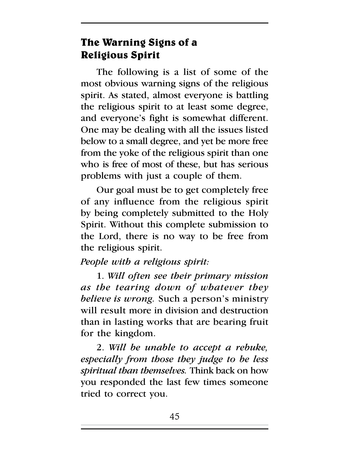### **The Warning Signs of a Religious Spirit**

The following is a list of some of the most obvious warning signs of the religious spirit. As stated, almost everyone is battling the religious spirit to at least some degree, and everyone's fight is somewhat different. One may be dealing with all the issues listed below to a small degree, and yet be more free from the yoke of the religious spirit than one who is free of most of these, but has serious problems with just a couple of them.

Our goal must be to get completely free of any influence from the religious spirit by being completely submitted to the Holy Spirit. Without this complete submission to the Lord, there is no way to be free from the religious spirit.

### *People with a religious spirit:*

1. *Will often see their primary mission as the tearing down of whatever they believe is wrong.* Such a person's ministry will result more in division and destruction than in lasting works that are bearing fruit for the kingdom.

2. *Will be unable to accept a rebuke, especially from those they judge to be less spiritual than themselves.* Think back on how you responded the last few times someone tried to correct you.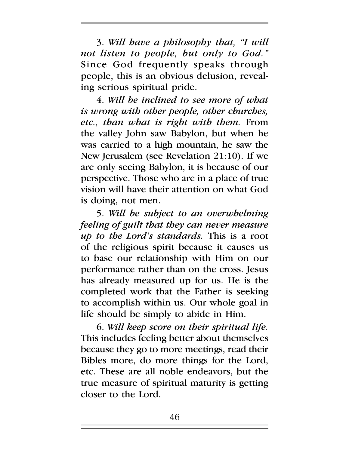3. *Will have a philosophy that, "I will not listen to people, but only to God."* Since God frequently speaks through people, this is an obvious delusion, revealing serious spiritual pride.

4. *Will be inclined to see more of what is wrong with other people, other churches, etc., than what is right with them.* From the valley John saw Babylon, but when he was carried to a high mountain, he saw the New Jerusalem (see Revelation 21:10). If we are only seeing Babylon, it is because of our perspective. Those who are in a place of true vision will have their attention on what God is doing, not men.

5. *Will be subject to an overwhelming feeling of guilt that they can never measure up to the Lord's standards.* This is a root of the religious spirit because it causes us to base our relationship with Him on our performance rather than on the cross. Jesus has already measured up for us. He is the completed work that the Father is seeking to accomplish within us. Our whole goal in life should be simply to abide in Him.

6. *Will keep score on their spiritual life.*  This includes feeling better about themselves because they go to more meetings, read their Bibles more, do more things for the Lord, etc. These are all noble endeavors, but the true measure of spiritual maturity is getting closer to the Lord.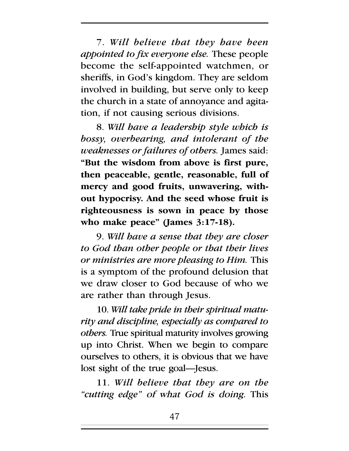7. *Will believe that they have been appointed to fix everyone else.* These people become the self-appointed watchmen, or sheriffs, in God's kingdom. They are seldom involved in building, but serve only to keep the church in a state of annoyance and agitation, if not causing serious divisions.

8. *Will have a leadership style which is bossy, overbearing, and intolerant of the weaknesses or failures of others.* James said: **"But the wisdom from above is first pure, then peaceable, gentle, reasonable, full of mercy and good fruits, unwavering, without hypocrisy. And the seed whose fruit is righteousness is sown in peace by those who make peace" (James 3:17-18).**

9. *Will have a sense that they are closer to God than other people or that their lives or ministries are more pleasing to Him.* This is a symptom of the profound delusion that we draw closer to God because of who we are rather than through Jesus.

10. *Will take pride in their spiritual maturity and discipline, especially as compared to others.* True spiritual maturity involves growing up into Christ. When we begin to compare ourselves to others, it is obvious that we have lost sight of the true goal—Jesus.

11. *Will believe that they are on the "cutting edge"* of what God is doing. This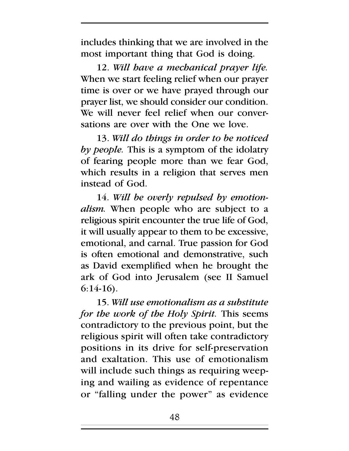includes thinking that we are involved in the most important thing that God is doing.

12. *Will have a mechanical prayer life.*  When we start feeling relief when our prayer time is over or we have prayed through our prayer list, we should consider our condition. We will never feel relief when our conversations are over with the One we love.

13. *Will do things in order to be noticed by people.* This is a symptom of the idolatry of fearing people more than we fear God, which results in a religion that serves men instead of God.

14. *Will be overly repulsed by emotionalism.* When people who are subject to a religious spirit encounter the true life of God, it will usually appear to them to be excessive, emotional, and carnal. True passion for God is often emotional and demonstrative, such as David exemplified when he brought the ark of God into Jerusalem (see II Samuel 6:14-16).

15. *Will use emotionalism as a substitute for the work of the Holy Spirit.* This seems contradictory to the previous point, but the religious spirit will often take contradictory positions in its drive for self-preservation and exaltation. This use of emotionalism will include such things as requiring weeping and wailing as evidence of repentance or "falling under the power" as evidence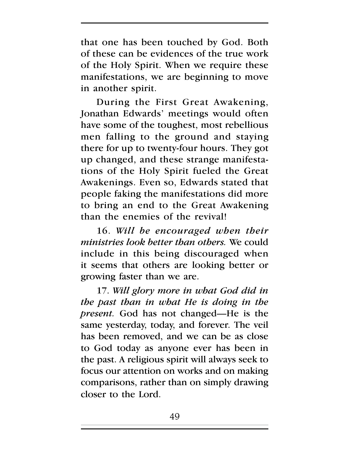that one has been touched by God. Both of these can be evidences of the true work of the Holy Spirit. When we require these manifestations, we are beginning to move in another spirit.

During the First Great Awakening, Jonathan Edwards' meetings would often have some of the toughest, most rebellious men falling to the ground and staying there for up to twenty-four hours. They got up changed, and these strange manifestations of the Holy Spirit fueled the Great Awakenings. Even so, Edwards stated that people faking the manifestations did more to bring an end to the Great Awakening than the enemies of the revival!

16. *Will be encouraged when their ministries look better than others.* We could include in this being discouraged when it seems that others are looking better or growing faster than we are.

17. *Will glory more in what God did in the past than in what He is doing in the present.* God has not changed—He is the same yesterday, today, and forever. The veil has been removed, and we can be as close to God today as anyone ever has been in the past. A religious spirit will always seek to focus our attention on works and on making comparisons, rather than on simply drawing closer to the Lord.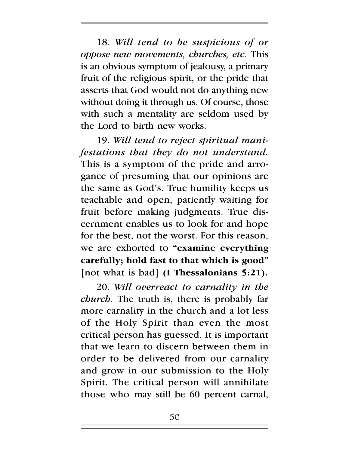18. *Will tend to be suspicious of or oppose new movements, churches, etc.* This is an obvious symptom of jealousy, a primary fruit of the religious spirit, or the pride that asserts that God would not do anything new without doing it through us. Of course, those with such a mentality are seldom used by the Lord to birth new works.

19. *Will tend to reject spiritual manifestations that they do not understand.* This is a symptom of the pride and arrogance of presuming that our opinions are the same as God's. True humility keeps us teachable and open, patiently waiting for fruit before making judgments. True discernment enables us to look for and hope for the best, not the worst. For this reason, we are exhorted to **"examine everything carefully; hold fast to that which is good"** [not what is bad] **(I Thessalonians 5:21).** 

20. *Will overreact to carnality in the church.* The truth is, there is probably far more carnality in the church and a lot less of the Holy Spirit than even the most critical person has guessed. It is important that we learn to discern between them in order to be delivered from our carnality and grow in our submission to the Holy Spirit. The critical person will annihilate those who may still be 60 percent carnal,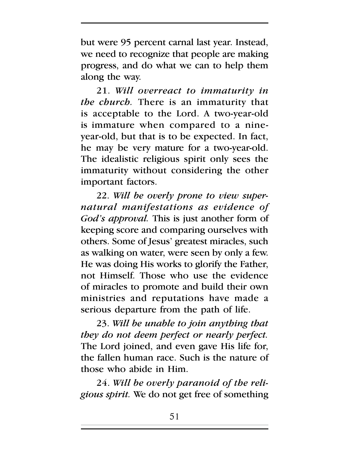but were 95 percent carnal last year. Instead, we need to recognize that people are making progress, and do what we can to help them along the way.

21. *Will overreact to immaturity in the church.* There is an immaturity that is acceptable to the Lord. A two-year-old is immature when compared to a nineyear-old, but that is to be expected. In fact, he may be very mature for a two-year-old. The idealistic religious spirit only sees the immaturity without considering the other important factors.

22. *Will be overly prone to view supernatural manifestations as evidence of God's approval.* This is just another form of keeping score and comparing ourselves with others. Some of Jesus' greatest miracles, such as walking on water, were seen by only a few. He was doing His works to glorify the Father, not Himself. Those who use the evidence of miracles to promote and build their own ministries and reputations have made a serious departure from the path of life.

23. *Will be unable to join anything that they do not deem perfect or nearly perfect.* The Lord joined, and even gave His life for, the fallen human race. Such is the nature of those who abide in Him.

24. *Will be overly paranoid of the religious spirit.* We do not get free of something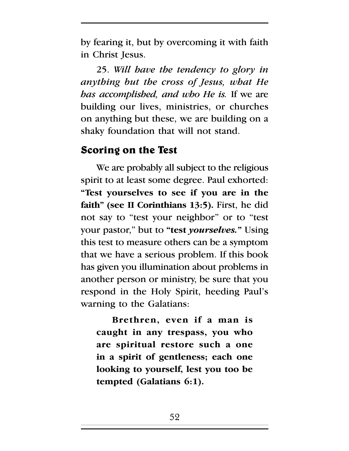by fearing it, but by overcoming it with faith in Christ Jesus.

25. *Will have the tendency to glory in anything but the cross of Jesus, what He has accomplished, and who He is.* If we are building our lives, ministries, or churches on anything but these, we are building on a shaky foundation that will not stand.

### **Scoring on the Test**

We are probably all subject to the religious spirit to at least some degree. Paul exhorted: **"Test yourselves to see if you are in the faith" (see II Corinthians 13:5).** First, he did not say to "test your neighbor" or to "test your pastor," but to **"test** *yourselves.***"** Using this test to measure others can be a symptom that we have a serious problem. If this book has given you illumination about problems in another person or ministry, be sure that you respond in the Holy Spirit, heeding Paul's warning to the Galatians:

**Brethren, even if a man is caught in any trespass, you who are spiritual restore such a one in a spirit of gentleness; each one looking to yourself, lest you too be tempted (Galatians 6:1).**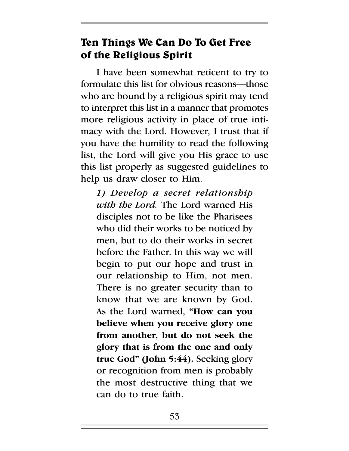### **Ten Things We Can Do To Get Free of the Religious Spirit**

I have been somewhat reticent to try to formulate this list for obvious reasons—those who are bound by a religious spirit may tend to interpret this list in a manner that promotes more religious activity in place of true intimacy with the Lord. However, I trust that if you have the humility to read the following list, the Lord will give you His grace to use this list properly as suggested guidelines to help us draw closer to Him.

*1) Develop a secret relationship with the Lord.* The Lord warned His disciples not to be like the Pharisees who did their works to be noticed by men, but to do their works in secret before the Father. In this way we will begin to put our hope and trust in our relationship to Him, not men. There is no greater security than to know that we are known by God. As the Lord warned, **"How can you believe when you receive glory one from another, but do not seek the glory that is from the one and only true God" (John 5:44).** Seeking glory or recognition from men is probably the most destructive thing that we can do to true faith.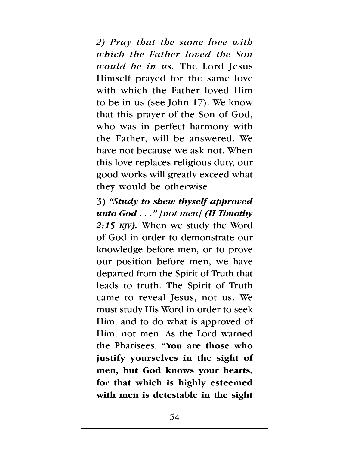*2) Pray that the same love with which the Father loved the Son would be in us.* The Lord Jesus Himself prayed for the same love with which the Father loved Him to be in us (see John 17). We know that this prayer of the Son of God, who was in perfect harmony with the Father, will be answered. We have not because we ask not. When this love replaces religious duty, our good works will greatly exceed what they would be otherwise.

**3)** *"Study to shew thyself approved unto God . . ." [not men] (II Timothy 2:15 KJV).* When we study the Word of God in order to demonstrate our knowledge before men, or to prove our position before men, we have departed from the Spirit of Truth that leads to truth. The Spirit of Truth came to reveal Jesus, not us. We must study His Word in order to seek Him, and to do what is approved of Him, not men. As the Lord warned the Pharisees, **"You are those who justify yourselves in the sight of men, but God knows your hearts, for that which is highly esteemed with men is detestable in the sight**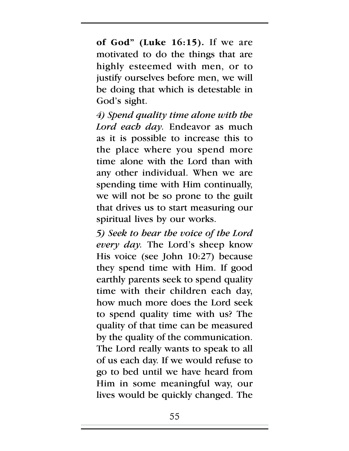**of God" (Luke 16:15).** If we are motivated to do the things that are highly esteemed with men, or to justify ourselves before men, we will be doing that which is detestable in God's sight.

*4) Spend quality time alone with the Lord each day.* Endeavor as much as it is possible to increase this to the place where you spend more time alone with the Lord than with any other individual. When we are spending time with Him continually, we will not be so prone to the guilt that drives us to start measuring our spiritual lives by our works.

*5) Seek to hear the voice of the Lord every day.* The Lord's sheep know His voice (see John 10:27) because they spend time with Him. If good earthly parents seek to spend quality time with their children each day, how much more does the Lord seek to spend quality time with us? The quality of that time can be measured by the quality of the communication. The Lord really wants to speak to all of us each day. If we would refuse to go to bed until we have heard from Him in some meaningful way, our lives would be quickly changed. The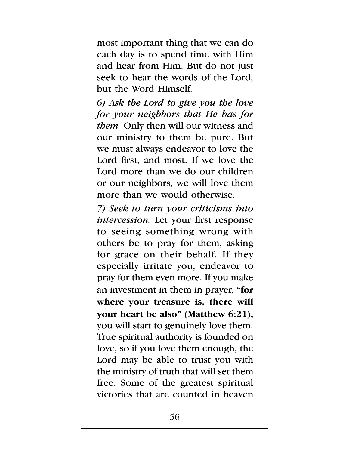most important thing that we can do each day is to spend time with Him and hear from Him. But do not just seek to hear the words of the Lord, but the Word Himself.

*6) Ask the Lord to give you the love for your neighbors that He has for them.* Only then will our witness and our ministry to them be pure. But we must always endeavor to love the Lord first, and most. If we love the Lord more than we do our children or our neighbors, we will love them more than we would otherwise.

*7) Seek to turn your criticisms into intercession.* Let your first response to seeing something wrong with others be to pray for them, asking for grace on their behalf. If they especially irritate you, endeavor to pray for them even more. If you make an investment in them in prayer, **"for where your treasure is, there will your heart be also" (Matthew 6:21),** you will start to genuinely love them. True spiritual authority is founded on love, so if you love them enough, the Lord may be able to trust you with the ministry of truth that will set them free. Some of the greatest spiritual victories that are counted in heaven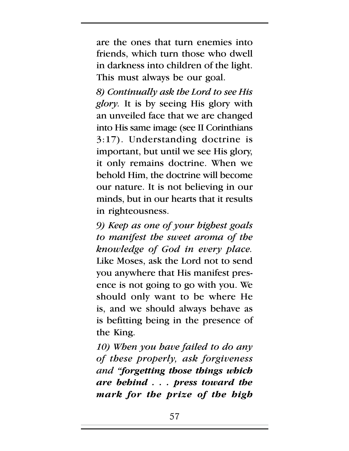are the ones that turn enemies into friends, which turn those who dwell in darkness into children of the light. This must always be our goal.

*8) Continually ask the Lord to see His glory.* It is by seeing His glory with an unveiled face that we are changed into His same image (see II Corinthians 3:17). Understanding doctrine is important, but until we see His glory, it only remains doctrine. When we behold Him, the doctrine will become our nature. It is not believing in our minds, but in our hearts that it results in righteousness.

*9) Keep as one of your highest goals to manifest the sweet aroma of the knowledge of God in every place.* Like Moses, ask the Lord not to send you anywhere that His manifest presence is not going to go with you. We should only want to be where He is, and we should always behave as is befitting being in the presence of the King.

*10) When you have failed to do any of these properly, ask forgiveness and "forgetting those things which are behind . . . press toward the mark for the prize of the high*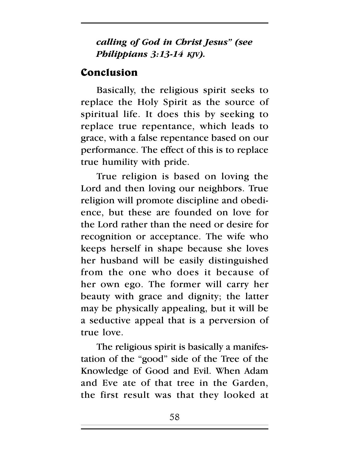### *calling of God in Christ Jesus" (see Philippians 3:13-14 KJV).*

### **Conclusion**

Basically, the religious spirit seeks to replace the Holy Spirit as the source of spiritual life. It does this by seeking to replace true repentance, which leads to grace, with a false repentance based on our performance. The effect of this is to replace true humility with pride.

True religion is based on loving the Lord and then loving our neighbors. True religion will promote discipline and obedience, but these are founded on love for the Lord rather than the need or desire for recognition or acceptance. The wife who keeps herself in shape because she loves her husband will be easily distinguished from the one who does it because of her own ego. The former will carry her beauty with grace and dignity; the latter may be physically appealing, but it will be a seductive appeal that is a perversion of true love.

The religious spirit is basically a manifestation of the "good" side of the Tree of the Knowledge of Good and Evil. When Adam and Eve ate of that tree in the Garden, the first result was that they looked at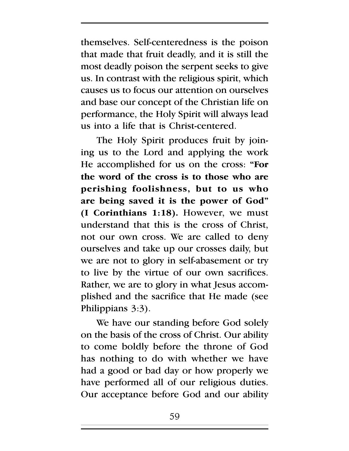themselves. Self-centeredness is the poison that made that fruit deadly, and it is still the most deadly poison the serpent seeks to give us. In contrast with the religious spirit, which causes us to focus our attention on ourselves and base our concept of the Christian life on performance, the Holy Spirit will always lead us into a life that is Christ-centered.

The Holy Spirit produces fruit by joining us to the Lord and applying the work He accomplished for us on the cross: **"For the word of the cross is to those who are perishing foolishness, but to us who are being saved it is the power of God" (I Corinthians 1:18).** However, we must understand that this is the cross of Christ, not our own cross. We are called to deny ourselves and take up our crosses daily, but we are not to glory in self-abasement or try to live by the virtue of our own sacrifices. Rather, we are to glory in what Jesus accomplished and the sacrifice that He made (see Philippians 3:3).

We have our standing before God solely on the basis of the cross of Christ. Our ability to come boldly before the throne of God has nothing to do with whether we have had a good or bad day or how properly we have performed all of our religious duties. Our acceptance before God and our ability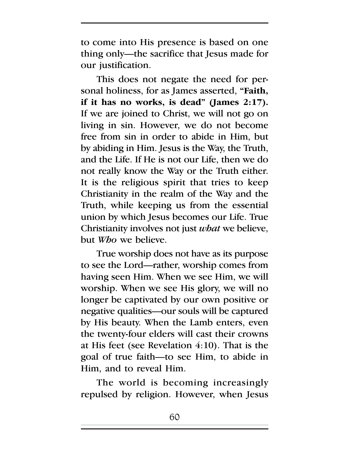to come into His presence is based on one thing only—the sacrifice that Jesus made for our justification.

This does not negate the need for personal holiness, for as James asserted, **"Faith, if it has no works, is dead" (James 2:17).**  If we are joined to Christ, we will not go on living in sin. However, we do not become free from sin in order to abide in Him, but by abiding in Him. Jesus is the Way, the Truth, and the Life. If He is not our Life, then we do not really know the Way or the Truth either. It is the religious spirit that tries to keep Christianity in the realm of the Way and the Truth, while keeping us from the essential union by which Jesus becomes our Life. True Christianity involves not just *what* we believe, but *Who* we believe.

True worship does not have as its purpose to see the Lord—rather, worship comes from having seen Him. When we see Him, we will worship. When we see His glory, we will no longer be captivated by our own positive or negative qualities—our souls will be captured by His beauty. When the Lamb enters, even the twenty-four elders will cast their crowns at His feet (see Revelation  $4:10$ ). That is the goal of true faith—to see Him, to abide in Him, and to reveal Him.

The world is becoming increasingly repulsed by religion. However, when Jesus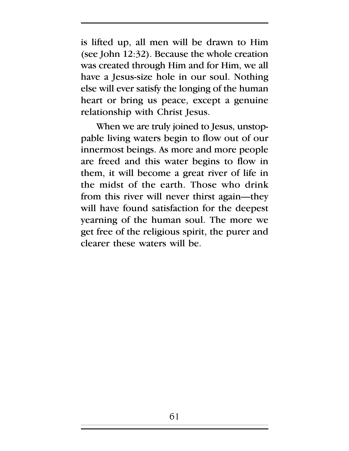is lifted up, all men will be drawn to Him (see John 12:32). Because the whole creation was created through Him and for Him, we all have a Jesus-size hole in our soul. Nothing else will ever satisfy the longing of the human heart or bring us peace, except a genuine relationship with Christ Jesus.

When we are truly joined to Jesus, unstoppable living waters begin to flow out of our innermost beings. As more and more people are freed and this water begins to flow in them, it will become a great river of life in the midst of the earth. Those who drink from this river will never thirst again—they will have found satisfaction for the deepest yearning of the human soul. The more we get free of the religious spirit, the purer and clearer these waters will be.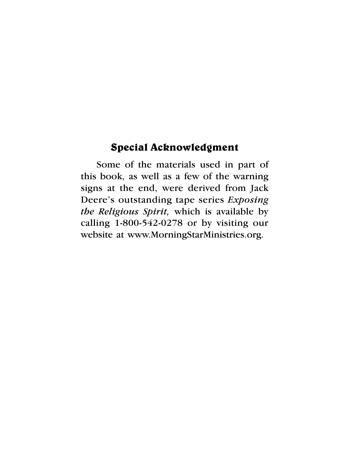#### **Special Acknowledgment**

Some of the materials used in part of this book, as well as a few of the warning signs at the end, were derived from Jack Deere's outstanding tape series *Exposing the Religious Spirit,* which is available by calling 1-800-542-0278 or by visiting our website at www.MorningStarMinistries.org.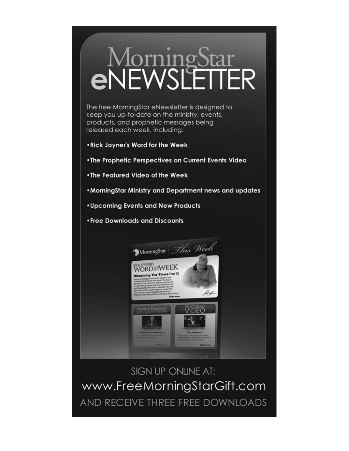# MorningS<br>**eNEWSIE FR**

The free MorningStar eNewsletter is designed to keep you up-to-date on the ministry, events, products, and prophetic messages being released each week, including:

- . Rick Joyner's Word for the Week
- . The Prophetic Perspectives on Current Events Video
- . The Featured Video of the Week
- . MorningStar Ministry and Department news and updates
- . Upcoming Events and New Products
- Free Downloads and Discounts



SIGN UP ONLINE AT: www.FreeMorningStarGift.com AND RECEIVE THREE FREE DOWNLOADS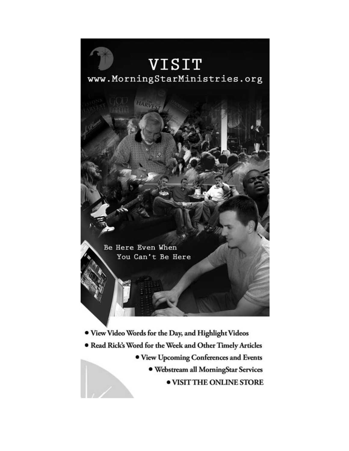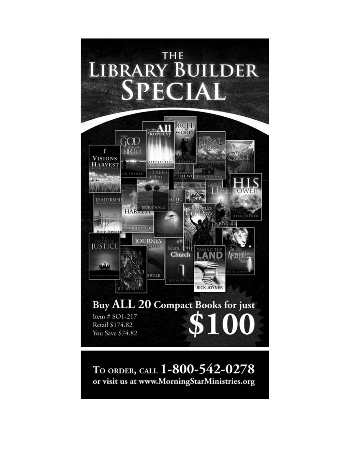

TO ORDER, CALL 1-800-542-0278 or visit us at www.MorningStarMinistries.org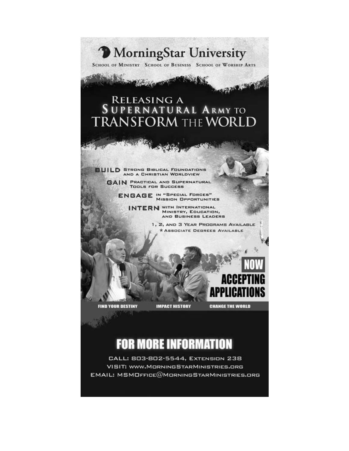

### **FOR MORE INFORMATION**

CALL: 803-802-5544, EXTENSION 238 **VISIT: WWW.MORNINGSTARMINISTRIES.ORG EMAIL: MSMOFFICE@MORNINGSTARMINISTRIES.ORG**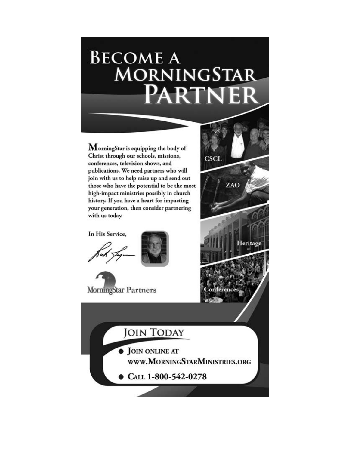# **BECOME A** MORNINGSTAR PARTNER

 $M$ orningStar is equipping the body of Christ through our schools, missions, conferences, television shows, and publications. We need partners who will join with us to help raise up and send out those who have the potential to be the most high-impact ministries possibly in church history. If you have a heart for impacting your generation, then consider partnering with us today.

In His Service,



**MorningStar Partners** 



**CSCL** 

**JOIN TODAY JOIN ONLINE AT** WWW.MORNINGSTARMINISTRIES.ORG

CALL 1-800-542-0278